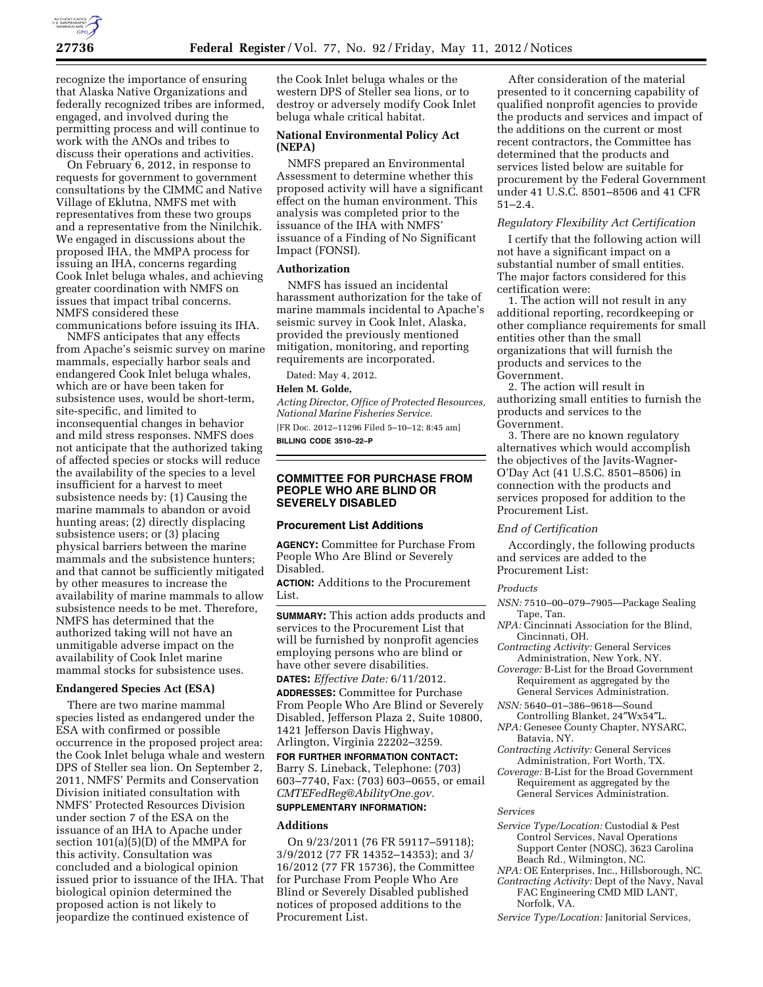

recognize the importance of ensuring that Alaska Native Organizations and federally recognized tribes are informed, engaged, and involved during the permitting process and will continue to work with the ANOs and tribes to discuss their operations and activities.

On February 6, 2012, in response to requests for government to government consultations by the CIMMC and Native Village of Eklutna, NMFS met with representatives from these two groups and a representative from the Ninilchik. We engaged in discussions about the proposed IHA, the MMPA process for issuing an IHA, concerns regarding Cook Inlet beluga whales, and achieving greater coordination with NMFS on issues that impact tribal concerns. NMFS considered these communications before issuing its IHA.

NMFS anticipates that any effects from Apache's seismic survey on marine mammals, especially harbor seals and endangered Cook Inlet beluga whales, which are or have been taken for subsistence uses, would be short-term, site-specific, and limited to inconsequential changes in behavior and mild stress responses. NMFS does not anticipate that the authorized taking of affected species or stocks will reduce the availability of the species to a level insufficient for a harvest to meet subsistence needs by: (1) Causing the marine mammals to abandon or avoid hunting areas; (2) directly displacing subsistence users; or (3) placing physical barriers between the marine mammals and the subsistence hunters; and that cannot be sufficiently mitigated by other measures to increase the availability of marine mammals to allow subsistence needs to be met. Therefore, NMFS has determined that the authorized taking will not have an unmitigable adverse impact on the availability of Cook Inlet marine mammal stocks for subsistence uses.

#### **Endangered Species Act (ESA)**

There are two marine mammal species listed as endangered under the ESA with confirmed or possible occurrence in the proposed project area: the Cook Inlet beluga whale and western DPS of Steller sea lion. On September 2, 2011, NMFS' Permits and Conservation Division initiated consultation with NMFS' Protected Resources Division under section 7 of the ESA on the issuance of an IHA to Apache under section 101(a)(5)(D) of the MMPA for this activity. Consultation was concluded and a biological opinion issued prior to issuance of the IHA. That biological opinion determined the proposed action is not likely to jeopardize the continued existence of

the Cook Inlet beluga whales or the western DPS of Steller sea lions, or to destroy or adversely modify Cook Inlet beluga whale critical habitat.

## **National Environmental Policy Act (NEPA)**

NMFS prepared an Environmental Assessment to determine whether this proposed activity will have a significant effect on the human environment. This analysis was completed prior to the issuance of the IHA with NMFS' issuance of a Finding of No Significant Impact (FONSI).

## **Authorization**

NMFS has issued an incidental harassment authorization for the take of marine mammals incidental to Apache's seismic survey in Cook Inlet, Alaska, provided the previously mentioned mitigation, monitoring, and reporting requirements are incorporated.

Dated: May 4, 2012.

## **Helen M. Golde,**

*Acting Director, Office of Protected Resources, National Marine Fisheries Service.*  [FR Doc. 2012–11296 Filed 5–10–12; 8:45 am]

**BILLING CODE 3510–22–P** 

# **COMMITTEE FOR PURCHASE FROM PEOPLE WHO ARE BLIND OR SEVERELY DISABLED**

#### **Procurement List Additions**

**AGENCY:** Committee for Purchase From People Who Are Blind or Severely Disabled.

**ACTION:** Additions to the Procurement List.

**SUMMARY:** This action adds products and services to the Procurement List that will be furnished by nonprofit agencies employing persons who are blind or have other severe disabilities.

**DATES:** *Effective Date:* 6/11/2012. **ADDRESSES:** Committee for Purchase From People Who Are Blind or Severely Disabled, Jefferson Plaza 2, Suite 10800, 1421 Jefferson Davis Highway, Arlington, Virginia 22202–3259.

**FOR FURTHER INFORMATION CONTACT:**  Barry S. Lineback, Telephone: (703) 603–7740, Fax: (703) 603–0655, or email *[CMTEFedReg@AbilityOne.gov.](mailto:CMTEFedReg@AbilityOne.gov)*  **SUPPLEMENTARY INFORMATION:** 

## **Additions**

On 9/23/2011 (76 FR 59117–59118); 3/9/2012 (77 FR 14352–14353); and 3/ 16/2012 (77 FR 15736), the Committee for Purchase From People Who Are Blind or Severely Disabled published notices of proposed additions to the Procurement List.

After consideration of the material presented to it concerning capability of qualified nonprofit agencies to provide the products and services and impact of the additions on the current or most recent contractors, the Committee has determined that the products and services listed below are suitable for procurement by the Federal Government under 41 U.S.C. 8501–8506 and 41 CFR 51–2.4.

#### *Regulatory Flexibility Act Certification*

I certify that the following action will not have a significant impact on a substantial number of small entities. The major factors considered for this certification were:

1. The action will not result in any additional reporting, recordkeeping or other compliance requirements for small entities other than the small organizations that will furnish the products and services to the Government.

2. The action will result in authorizing small entities to furnish the products and services to the Government.

3. There are no known regulatory alternatives which would accomplish the objectives of the Javits-Wagner-O'Day Act (41 U.S.C. 8501–8506) in connection with the products and services proposed for addition to the Procurement List.

## *End of Certification*

Accordingly, the following products and services are added to the Procurement List:

#### *Products*

- *NSN:* 7510–00–079–7905—Package Sealing Tape, Tan.
- *NPA:* Cincinnati Association for the Blind, Cincinnati, OH.
- *Contracting Activity:* General Services Administration, New York, NY.
- *Coverage:* B-List for the Broad Government Requirement as aggregated by the General Services Administration.
- *NSN:* 5640–01–386–9618—Sound Controlling Blanket, 24″Wx54″L.
- *NPA:* Genesee County Chapter, NYSARC, Batavia, NY.
- *Contracting Activity:* General Services Administration, Fort Worth, TX.
- *Coverage:* B-List for the Broad Government Requirement as aggregated by the General Services Administration.

#### *Services*

- *Service Type/Location:* Custodial & Pest Control Services, Naval Operations Support Center (NOSC), 3623 Carolina Beach Rd., Wilmington, NC.
- *NPA:* OE Enterprises, Inc., Hillsborough, NC.
- *Contracting Activity:* Dept of the Navy, Naval FAC Engineering CMD MID LANT, Norfolk, VA.
- *Service Type/Location:* Janitorial Services,